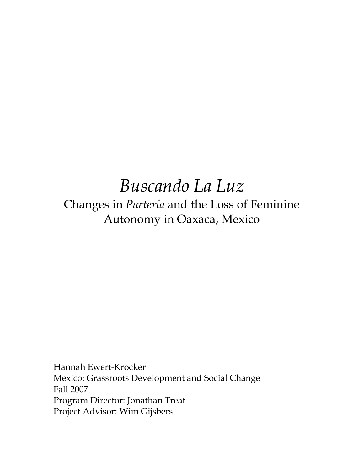# *Buscando La Luz*  Changes in *Partería* and the Loss of Feminine Autonomy in Oaxaca, Mexico

Hannah Ewert-Krocker Mexico: Grassroots Development and Social Change Fall 2007 Program Director: Jonathan Treat Project Advisor: Wim Gijsbers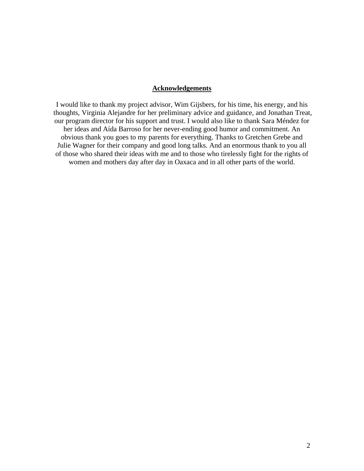## **Acknowledgements**

I would like to thank my project advisor, Wim Gijsbers, for his time, his energy, and his thoughts, Virginia Alejandre for her preliminary advice and guidance, and Jonathan Treat, our program director for his support and trust. I would also like to thank Sara Méndez for her ideas and Aída Barroso for her never-ending good humor and commitment. An obvious thank you goes to my parents for everything. Thanks to Gretchen Grebe and Julie Wagner for their company and good long talks. And an enormous thank to you all of those who shared their ideas with me and to those who tirelessly fight for the rights of women and mothers day after day in Oaxaca and in all other parts of the world.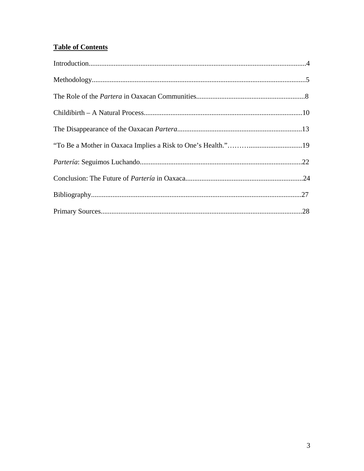# **Table of Contents**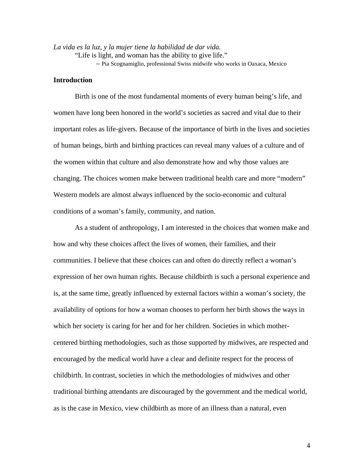*La vida es la luz, y la mujer tiene la habilidad de dar vida.*  "Life is light, and woman has the ability to give life."

– Pia Scognamiglio, professional Swiss midwife who works in Oaxaca, Mexico

#### **Introduction**

Birth is one of the most fundamental moments of every human being's life, and women have long been honored in the world's societies as sacred and vital due to their important roles as life-givers. Because of the importance of birth in the lives and societies of human beings, birth and birthing practices can reveal many values of a culture and of the women within that culture and also demonstrate how and why those values are changing. The choices women make between traditional health care and more "modern" Western models are almost always influenced by the socio-economic and cultural conditions of a woman's family, community, and nation.

As a student of anthropology, I am interested in the choices that women make and how and why these choices affect the lives of women, their families, and their communities. I believe that these choices can and often do directly reflect a woman's expression of her own human rights. Because childbirth is such a personal experience and is, at the same time, greatly influenced by external factors within a woman's society, the availability of options for how a woman chooses to perform her birth shows the ways in which her society is caring for her and for her children. Societies in which mothercentered birthing methodologies, such as those supported by midwives, are respected and encouraged by the medical world have a clear and definite respect for the process of childbirth. In contrast, societies in which the methodologies of midwives and other traditional birthing attendants are discouraged by the government and the medical world, as is the case in Mexico, view childbirth as more of an illness than a natural, even

4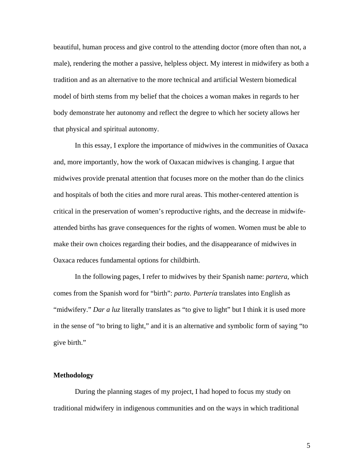beautiful, human process and give control to the attending doctor (more often than not, a male), rendering the mother a passive, helpless object. My interest in midwifery as both a tradition and as an alternative to the more technical and artificial Western biomedical model of birth stems from my belief that the choices a woman makes in regards to her body demonstrate her autonomy and reflect the degree to which her society allows her that physical and spiritual autonomy.

In this essay, I explore the importance of midwives in the communities of Oaxaca and, more importantly, how the work of Oaxacan midwives is changing. I argue that midwives provide prenatal attention that focuses more on the mother than do the clinics and hospitals of both the cities and more rural areas. This mother-centered attention is critical in the preservation of women's reproductive rights, and the decrease in midwifeattended births has grave consequences for the rights of women. Women must be able to make their own choices regarding their bodies, and the disappearance of midwives in Oaxaca reduces fundamental options for childbirth.

 In the following pages, I refer to midwives by their Spanish name: *partera*, which comes from the Spanish word for "birth": *parto*. *Partería* translates into English as "midwifery." *Dar a luz* literally translates as "to give to light" but I think it is used more in the sense of "to bring to light," and it is an alternative and symbolic form of saying "to give birth."

#### **Methodology**

During the planning stages of my project, I had hoped to focus my study on traditional midwifery in indigenous communities and on the ways in which traditional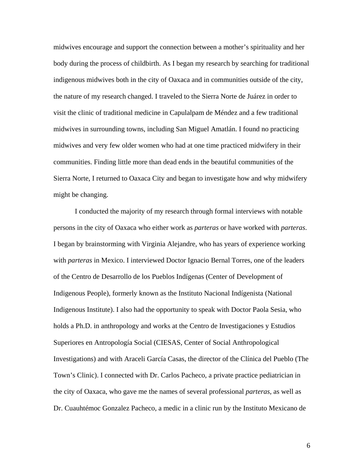midwives encourage and support the connection between a mother's spirituality and her body during the process of childbirth. As I began my research by searching for traditional indigenous midwives both in the city of Oaxaca and in communities outside of the city, the nature of my research changed. I traveled to the Sierra Norte de Juárez in order to visit the clinic of traditional medicine in Capulalpam de Méndez and a few traditional midwives in surrounding towns, including San Miguel Amatlán. I found no practicing midwives and very few older women who had at one time practiced midwifery in their communities. Finding little more than dead ends in the beautiful communities of the Sierra Norte, I returned to Oaxaca City and began to investigate how and why midwifery might be changing.

 I conducted the majority of my research through formal interviews with notable persons in the city of Oaxaca who either work as *parteras* or have worked with *parteras*. I began by brainstorming with Virginia Alejandre, who has years of experience working with *parteras* in Mexico. I interviewed Doctor Ignacio Bernal Torres, one of the leaders of the Centro de Desarrollo de los Pueblos Indígenas (Center of Development of Indigenous People), formerly known as the Instituto Nacional Indígenista (National Indigenous Institute). I also had the opportunity to speak with Doctor Paola Sesia, who holds a Ph.D. in anthropology and works at the Centro de Investigaciones y Estudios Superiores en Antropología Social (CIESAS, Center of Social Anthropological Investigations) and with Araceli García Casas, the director of the Clínica del Pueblo (The Town's Clinic). I connected with Dr. Carlos Pacheco, a private practice pediatrician in the city of Oaxaca, who gave me the names of several professional *parteras*, as well as Dr. Cuauhtémoc Gonzalez Pacheco, a medic in a clinic run by the Instituto Mexicano de

6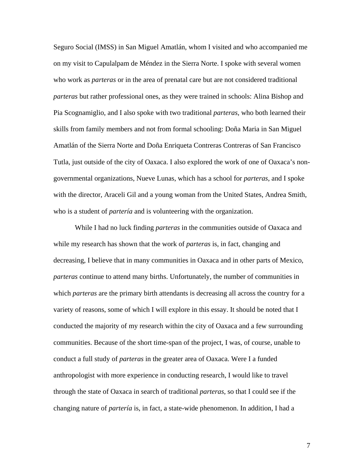Seguro Social (IMSS) in San Miguel Amatlán, whom I visited and who accompanied me on my visit to Capulalpam de Méndez in the Sierra Norte. I spoke with several women who work as *parteras* or in the area of prenatal care but are not considered traditional *parteras* but rather professional ones, as they were trained in schools: Alina Bishop and Pia Scognamiglio, and I also spoke with two traditional *parteras*, who both learned their skills from family members and not from formal schooling: Doña Maria in San Miguel Amatlán of the Sierra Norte and Doña Enriqueta Contreras Contreras of San Francisco Tutla, just outside of the city of Oaxaca. I also explored the work of one of Oaxaca's nongovernmental organizations, Nueve Lunas, which has a school for *parteras*, and I spoke with the director, Araceli Gil and a young woman from the United States, Andrea Smith, who is a student of *parteria* and is volunteering with the organization.

 While I had no luck finding *parteras* in the communities outside of Oaxaca and while my research has shown that the work of *parteras* is, in fact, changing and decreasing, I believe that in many communities in Oaxaca and in other parts of Mexico, *parteras* continue to attend many births. Unfortunately, the number of communities in which *parteras* are the primary birth attendants is decreasing all across the country for a variety of reasons, some of which I will explore in this essay. It should be noted that I conducted the majority of my research within the city of Oaxaca and a few surrounding communities. Because of the short time-span of the project, I was, of course, unable to conduct a full study of *parteras* in the greater area of Oaxaca. Were I a funded anthropologist with more experience in conducting research, I would like to travel through the state of Oaxaca in search of traditional *parteras*, so that I could see if the changing nature of *partería* is, in fact, a state-wide phenomenon. In addition, I had a

7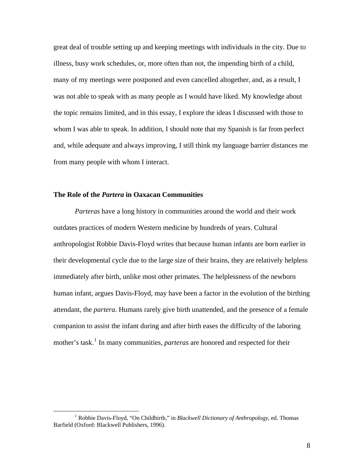great deal of trouble setting up and keeping meetings with individuals in the city. Due to illness, busy work schedules, or, more often than not, the impending birth of a child, many of my meetings were postponed and even cancelled altogether, and, as a result, I was not able to speak with as many people as I would have liked. My knowledge about the topic remains limited, and in this essay, I explore the ideas I discussed with those to whom I was able to speak. In addition, I should note that my Spanish is far from perfect and, while adequate and always improving, I still think my language barrier distances me from many people with whom I interact.

### **The Role of the** *Partera* **in Oaxacan Communities**

*Parteras* have a long history in communities around the world and their work outdates practices of modern Western medicine by hundreds of years. Cultural anthropologist Robbie Davis-Floyd writes that because human infants are born earlier in their developmental cycle due to the large size of their brains, they are relatively helpless immediately after birth, unlike most other primates. The helplessness of the newborn human infant, argues Davis-Floyd, may have been a factor in the evolution of the birthing attendant, the *partera*. Humans rarely give birth unattended, and the presence of a female companion to assist the infant during and after birth eases the difficulty of the laboring mother's task.<sup>[1](#page-7-0)</sup> In many communities, *parteras* are honored and respected for their

<span id="page-7-0"></span> $\frac{1}{1}$  Robbie Davis-Floyd, "On Childbirth," in *Blackwell Dictionary of Anthropology*, ed. Thomas Barfield (Oxford: Blackwell Publishers, 1996).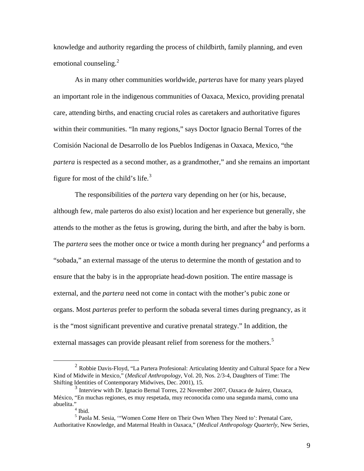knowledge and authority regarding the process of childbirth, family planning, and even emotional counseling.<sup>[2](#page-8-0)</sup>

 As in many other communities worldwide, *parteras* have for many years played an important role in the indigenous communities of Oaxaca, Mexico, providing prenatal care, attending births, and enacting crucial roles as caretakers and authoritative figures within their communities. "In many regions," says Doctor Ignacio Bernal Torres of the Comisión Nacional de Desarrollo de los Pueblos Indígenas in Oaxaca, Mexico, "the *partera* is respected as a second mother, as a grandmother," and she remains an important figure for most of the child's life. $3$ 

 The responsibilities of the *partera* vary depending on her (or his, because, although few, male parteros do also exist) location and her experience but generally, she attends to the mother as the fetus is growing, during the birth, and after the baby is born. The *partera* sees the mother once or twice a month during her pregnancy<sup>[4](#page-8-2)</sup> and performs a "sobada," an external massage of the uterus to determine the month of gestation and to ensure that the baby is in the appropriate head-down position. The entire massage is external, and the *partera* need not come in contact with the mother's pubic zone or organs. Most *parteras* prefer to perform the sobada several times during pregnancy, as it is the "most significant preventive and curative prenatal strategy." In addition, the external massages can provide pleasant relief from soreness for the mothers.<sup>[5](#page-8-3)</sup>

<span id="page-8-0"></span> <sup>2</sup> Robbie Davis-Floyd, "La Partera Profesional: Articulating Identity and Cultural Space for a New Kind of Midwife in Mexico," (*Medical Anthropology*, Vol. 20, Nos. 2/3-4, Daughters of Time: The

<span id="page-8-1"></span> $3$  Interview with Dr. Ignacio Bernal Torres, 22 November 2007, Oaxaca de Juárez, Oaxaca, México, "En muchas regiones, es muy respetada, muy reconocida como una segunda mamá, como una abuelita." 4 Ibid.

<span id="page-8-3"></span><span id="page-8-2"></span><sup>5</sup> Paola M. Sesia, '"Women Come Here on Their Own When They Need to': Prenatal Care, Authoritative Knowledge, and Maternal Health in Oaxaca," (*Medical Anthropology Quarterly*, New Series,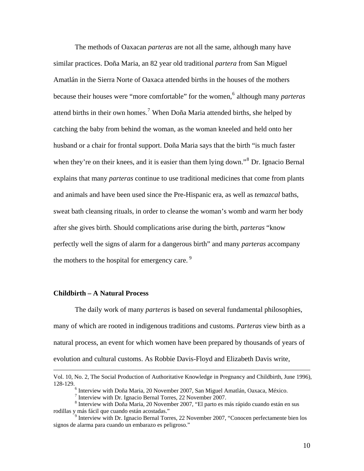The methods of Oaxacan *parteras* are not all the same, although many have similar practices. Doña Maria, an 82 year old traditional *partera* from San Miguel Amatlán in the Sierra Norte of Oaxaca attended births in the houses of the mothers because their houses were "more comfortable" for the women, <sup>[6](#page-9-0)</sup> although many *parteras* attend births in their own homes.<sup>[7](#page-9-1)</sup> When Doña Maria attended births, she helped by catching the baby from behind the woman, as the woman kneeled and held onto her husband or a chair for frontal support. Doña Maria says that the birth "is much faster when they're on their knees, and it is easier than them lying down."<sup>[8](#page-9-2)</sup> Dr. Ignacio Bernal explains that many *parteras* continue to use traditional medicines that come from plants and animals and have been used since the Pre-Hispanic era, as well as *temazcal* baths, sweat bath cleansing rituals, in order to cleanse the woman's womb and warm her body after she gives birth. Should complications arise during the birth, *parteras* "know perfectly well the signs of alarm for a dangerous birth" and many *parteras* accompany the mothers to the hospital for emergency care.  $9$ 

#### **Childbirth – A Natural Process**

 The daily work of many *parteras* is based on several fundamental philosophies, many of which are rooted in indigenous traditions and customs. *Parteras* view birth as a natural process, an event for which women have been prepared by thousands of years of evolution and cultural customs. As Robbie Davis-Floyd and Elizabeth Davis write,

Vol. 10, No. 2, The Social Production of Authoritative Knowledge in Pregnancy and Childbirth, June 1996), 128-129. 6

 $6$  Interview with Doña Maria, 20 November 2007, San Miguel Amatlán, Oaxaca, México.

 $<sup>7</sup>$  Interview with Dr. Ignacio Bernal Torres, 22 November 2007.</sup>

<span id="page-9-2"></span><span id="page-9-1"></span><span id="page-9-0"></span><sup>8</sup> Interview with Doña Maria, 20 November 2007, "El parto es más rápido cuando están en sus rodillas y más fácil que cuando están acostadas." 9

<span id="page-9-3"></span><sup>&</sup>lt;sup>9</sup> Interview with Dr. Ignacio Bernal Torres, 22 November 2007, "Conocen perfectamente bien los signos de alarma para cuando un embarazo es peligroso."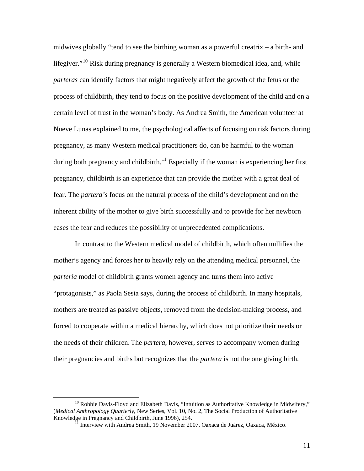midwives globally "tend to see the birthing woman as a powerful creatrix – a birth- and lifegiver."<sup>[10](#page-10-0)</sup> Risk during pregnancy is generally a Western biomedical idea, and, while *parteras* can identify factors that might negatively affect the growth of the fetus or the process of childbirth, they tend to focus on the positive development of the child and on a certain level of trust in the woman's body. As Andrea Smith, the American volunteer at Nueve Lunas explained to me, the psychological affects of focusing on risk factors during pregnancy, as many Western medical practitioners do, can be harmful to the woman during both pregnancy and childbirth.<sup>[11](#page-10-1)</sup> Especially if the woman is experiencing her first pregnancy, childbirth is an experience that can provide the mother with a great deal of fear. The *partera's* focus on the natural process of the child's development and on the inherent ability of the mother to give birth successfully and to provide for her newborn eases the fear and reduces the possibility of unprecedented complications.

 In contrast to the Western medical model of childbirth, which often nullifies the mother's agency and forces her to heavily rely on the attending medical personnel, the *partería* model of childbirth grants women agency and turns them into active "protagonists," as Paola Sesia says, during the process of childbirth. In many hospitals, mothers are treated as passive objects, removed from the decision-making process, and forced to cooperate within a medical hierarchy, which does not prioritize their needs or the needs of their children. The *partera*, however, serves to accompany women during their pregnancies and births but recognizes that the *partera* is not the one giving birth.

<span id="page-10-1"></span><span id="page-10-0"></span> $10$  Robbie Davis-Floyd and Elizabeth Davis, "Intuition as Authoritative Knowledge in Midwifery," (*Medical Anthropology Quarterly*, New Series, Vol. 10, No. 2, The Social Production of Authoritative Knowledge in Pregnancy and Childbirth, June 1996), 254.<br><sup>11</sup> Interview with Andrea Smith, 19 November 2007, Oaxaca de Juárez, Oaxaca, México.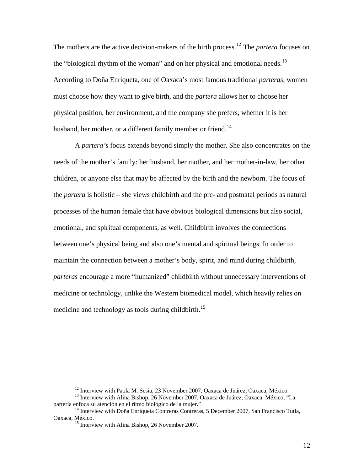The mothers are the active decision-makers of the birth process.[12](#page-11-0) The *partera* focuses on the "biological rhythm of the woman" and on her physical and emotional needs.<sup>[13](#page-11-1)</sup> According to Doña Enriqueta, one of Oaxaca's most famous traditional *parteras*, women must choose how they want to give birth, and the *partera* allows her to choose her physical position, her environment, and the company she prefers, whether it is her husband, her mother, or a different family member or friend.<sup>[14](#page-11-2)</sup>

A *partera's* focus extends beyond simply the mother. She also concentrates on the needs of the mother's family: her husband, her mother, and her mother-in-law, her other children, or anyone else that may be affected by the birth and the newborn. The focus of the *partera* is holistic – she views childbirth and the pre- and postnatal periods as natural processes of the human female that have obvious biological dimensions but also social, emotional, and spiritual components, as well. Childbirth involves the connections between one's physical being and also one's mental and spiritual beings. In order to maintain the connection between a mother's body, spirit, and mind during childbirth, *parteras* encourage a more "humanized" childbirth without unnecessary interventions of medicine or technology, unlike the Western biomedical model, which heavily relies on medicine and technology as tools during childbirth.<sup>[15](#page-11-3)</sup>

<span id="page-11-1"></span><span id="page-11-0"></span><sup>&</sup>lt;sup>12</sup> Interview with Paola M. Sesia, 23 November 2007, Oaxaca de Juárez, Oaxaca, México. <sup>13</sup> Interview with Alina Bishop, 26 November 2007, Oaxaca de Juárez, Oaxaca, México, "La partería enfoca su atención en el ritmo biol

<span id="page-11-3"></span><span id="page-11-2"></span> $14$  Interview with Doña Enriqueta Contreras Contreras, 5 December 2007, San Francisco Tutla, Oaxaca, México. 15 Interview with Alina Bishop, 26 November 2007.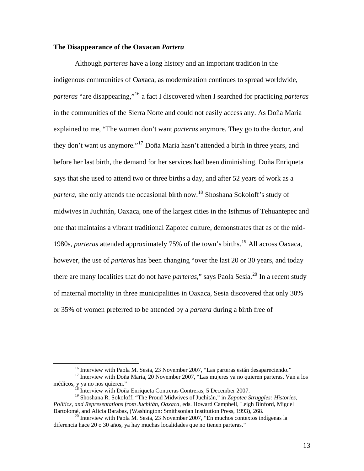#### **The Disappearance of the Oaxacan** *Partera*

 Although *parteras* have a long history and an important tradition in the indigenous communities of Oaxaca, as modernization continues to spread worldwide, *parteras* "are disappearing,"[16](#page-12-0) a fact I discovered when I searched for practicing *parteras*  in the communities of the Sierra Norte and could not easily access any. As Doña Maria explained to me, "The women don't want *parteras* anymore. They go to the doctor, and they don't want us anymore."[17](#page-12-1) Doña Maria hasn't attended a birth in three years, and before her last birth, the demand for her services had been diminishing. Doña Enriqueta says that she used to attend two or three births a day, and after 52 years of work as a *partera*, she only attends the occasional birth now.<sup>[18](#page-12-2)</sup> Shoshana Sokoloff's study of midwives in Juchitán, Oaxaca, one of the largest cities in the Isthmus of Tehuantepec and one that maintains a vibrant traditional Zapotec culture, demonstrates that as of the mid-1980s, *parteras* attended approximately 75% of the town's births.[19](#page-12-3) All across Oaxaca, however, the use of *parteras* has been changing "over the last 20 or 30 years, and today there are many localities that do not have *parteras*," says Paola Sesia.<sup>[20](#page-12-4)</sup> In a recent study of maternal mortality in three municipalities in Oaxaca, Sesia discovered that only 30% or 35% of women preferred to be attended by a *partera* during a birth free of

<span id="page-12-1"></span><span id="page-12-0"></span><sup>&</sup>lt;sup>16</sup> Interview with Paola M. Sesia, 23 November 2007, "Las parteras están desapareciendo."<br><sup>17</sup> Interview with Doña Maria, 20 November 2007, "Las mujeres ya no quieren parteras. Van a los<br>médicos, y ya no nos quieren."

Interview with Doña Enriqueta Contreras Contreras, 5 December 2007.

<span id="page-12-3"></span><span id="page-12-2"></span><sup>19</sup> Shoshana R. Sokoloff, "The Proud Midwives of Juchitán," in *Zapotec Struggles: Histories, Politics, and Representations from Juchitán, Oaxaca*, eds. Howard Campbell, Leigh Binford, Miguel

<span id="page-12-4"></span> $^{20}$  Interview with Paola M. Sesia, 23 November 2007, "En muchos contextos indígenas la diferencia hace 20 o 30 años, ya hay muchas localidades que no tienen parteras."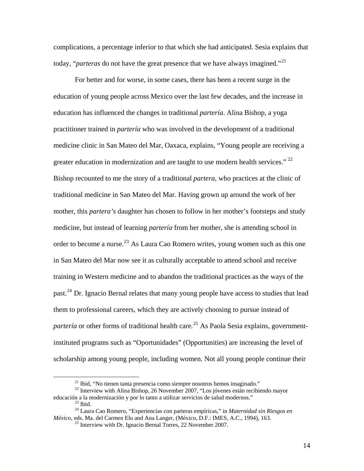complications, a percentage inferior to that which she had anticipated. Sesia explains that today, "*parteras* do not have the great presence that we have always imagined."<sup>[21](#page-13-0)</sup>

 For better and for worse, in some cases, there has been a recent surge in the education of young people across Mexico over the last few decades, and the increase in education has influenced the changes in traditional *partería*. Alina Bishop, a yoga practitioner trained in *partería* who was involved in the development of a traditional medicine clinic in San Mateo del Mar, Oaxaca, explains, "Young people are receiving a greater education in modernization and are taught to use modern health services."  $^{22}$  $^{22}$  $^{22}$ Bishop recounted to me the story of a traditional *partera*, who practices at the clinic of traditional medicine in San Mateo del Mar. Having grown up around the work of her mother, this *partera's* daughter has chosen to follow in her mother's footsteps and study medicine, but instead of learning *partería* from her mother, she is attending school in order to become a nurse.<sup>[23](#page-13-2)</sup> As Laura Cao Romero writes, young women such as this one in San Mateo del Mar now see it as culturally acceptable to attend school and receive training in Western medicine and to abandon the traditional practices as the ways of the past.<sup>[24](#page-13-3)</sup> Dr. Ignacio Bernal relates that many young people have access to studies that lead them to professional careers, which they are actively choosing to pursue instead of *partería* or other forms of traditional health care*.* [25](#page-13-4) As Paola Sesia explains, governmentinstituted programs such as "Oportunidades" (Opportunities) are increasing the level of scholarship among young people, including women. Not all young people continue their

<span id="page-13-1"></span><span id="page-13-0"></span><sup>&</sup>lt;sup>21</sup> Ibid, "No tienen tanta presencia como siempre nosotros hemos imaginado."  $^{22}$  Interview with Alina Bishop, 26 November 2007, "Los jóvenes están recibiendo mayor educación a la modernización y por lo tanto a utilizar servicios de salud modernos." 23 Ibid.

<span id="page-13-4"></span><span id="page-13-3"></span><span id="page-13-2"></span><sup>24</sup> Laura Cao Romero, "Experiencias con parteras empíricas," in *Maternidad sin Riesgos en México*, eds. Ma. del Carmen Elu and Ana Langer, (México, D.F.: IMES, A.C., 1994), 163.

 $^{25}$  Interview with Dr. Ignacio Bernal Torres, 22 November 2007.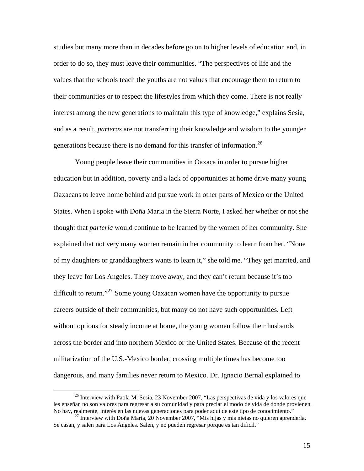studies but many more than in decades before go on to higher levels of education and, in order to do so, they must leave their communities. "The perspectives of life and the values that the schools teach the youths are not values that encourage them to return to their communities or to respect the lifestyles from which they come. There is not really interest among the new generations to maintain this type of knowledge," explains Sesia, and as a result, *parteras* are not transferring their knowledge and wisdom to the younger generations because there is no demand for this transfer of information.<sup>[26](#page-14-0)</sup>

 Young people leave their communities in Oaxaca in order to pursue higher education but in addition, poverty and a lack of opportunities at home drive many young Oaxacans to leave home behind and pursue work in other parts of Mexico or the United States. When I spoke with Doña Maria in the Sierra Norte, I asked her whether or not she thought that *partería* would continue to be learned by the women of her community. She explained that not very many women remain in her community to learn from her. "None of my daughters or granddaughters wants to learn it," she told me. "They get married, and they leave for Los Angeles. They move away, and they can't return because it's too difficult to return."<sup>[27](#page-14-1)</sup> Some young Oaxacan women have the opportunity to pursue careers outside of their communities, but many do not have such opportunities. Left without options for steady income at home, the young women follow their husbands across the border and into northern Mexico or the United States. Because of the recent militarization of the U.S.-Mexico border, crossing multiple times has become too dangerous, and many families never return to Mexico. Dr. Ignacio Bernal explained to

<span id="page-14-0"></span><sup>&</sup>lt;sup>26</sup> Interview with Paola M. Sesia, 23 November 2007, "Las perspectivas de vida y los valores que les enseñan no son valores para regresar a su comunidad y para preciar el modo de vida de donde provienen. No hay, realmente, interés en las nuevas generaciones para poder aquí de este tipo de conocimiento."<br><sup>27</sup> Interview with Doña Maria, 20 November 2007, "Mis hijas y mis nietas no quieren aprenderla.

<span id="page-14-1"></span>Se casan, y salen para Los Ángeles. Salen, y no pueden regresar porque es tan dificil."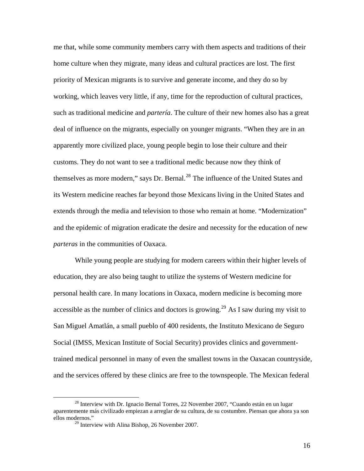me that, while some community members carry with them aspects and traditions of their home culture when they migrate, many ideas and cultural practices are lost. The first priority of Mexican migrants is to survive and generate income, and they do so by working, which leaves very little, if any, time for the reproduction of cultural practices, such as traditional medicine and *partería*. The culture of their new homes also has a great deal of influence on the migrants, especially on younger migrants. "When they are in an apparently more civilized place, young people begin to lose their culture and their customs. They do not want to see a traditional medic because now they think of themselves as more modern," says Dr. Bernal.<sup>[28](#page-15-0)</sup> The influence of the United States and its Western medicine reaches far beyond those Mexicans living in the United States and extends through the media and television to those who remain at home. "Modernization" and the epidemic of migration eradicate the desire and necessity for the education of new *parteras* in the communities of Oaxaca.

 While young people are studying for modern careers within their higher levels of education, they are also being taught to utilize the systems of Western medicine for personal health care. In many locations in Oaxaca, modern medicine is becoming more accessible as the number of clinics and doctors is growing.<sup>[29](#page-15-1)</sup> As I saw during my visit to San Miguel Amatlán, a small pueblo of 400 residents, the Instituto Mexicano de Seguro Social (IMSS, Mexican Institute of Social Security) provides clinics and governmenttrained medical personnel in many of even the smallest towns in the Oaxacan countryside, and the services offered by these clinics are free to the townspeople. The Mexican federal

<span id="page-15-1"></span><span id="page-15-0"></span><sup>&</sup>lt;sup>28</sup> Interview with Dr. Ignacio Bernal Torres, 22 November 2007, "Cuando están en un lugar aparentemente más civilizado empiezan a arreglar de su cultura, de su costumbre. Piensan que ahora ya son ellos modernos."

 $29$  Interview with Alina Bishop, 26 November 2007.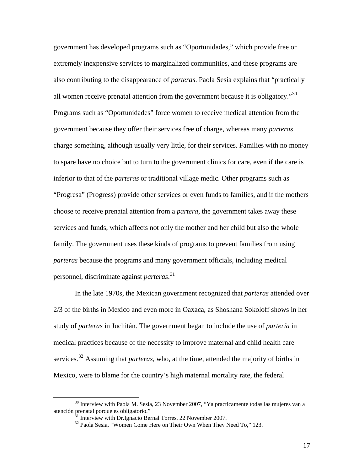government has developed programs such as "Oportunidades," which provide free or extremely inexpensive services to marginalized communities, and these programs are also contributing to the disappearance of *parteras*. Paola Sesia explains that "practically all women receive prenatal attention from the government because it is obligatory."[30](#page-16-0) Programs such as "Oportunidades" force women to receive medical attention from the government because they offer their services free of charge, whereas many *parteras* charge something, although usually very little, for their services. Families with no money to spare have no choice but to turn to the government clinics for care, even if the care is inferior to that of the *parteras* or traditional village medic. Other programs such as "Progresa" (Progress) provide other services or even funds to families, and if the mothers choose to receive prenatal attention from a *partera*, the government takes away these services and funds, which affects not only the mother and her child but also the whole family. The government uses these kinds of programs to prevent families from using *parteras* because the programs and many government officials, including medical personnel, discriminate against *parteras*. [31](#page-16-1)

 In the late 1970s, the Mexican government recognized that *parteras* attended over 2/3 of the births in Mexico and even more in Oaxaca, as Shoshana Sokoloff shows in her study of *parteras* in Juchitán. The government began to include the use of *partería* in medical practices because of the necessity to improve maternal and child health care services.<sup>[32](#page-16-2)</sup> Assuming that *parteras*, who, at the time, attended the majority of births in Mexico, were to blame for the country's high maternal mortality rate, the federal

<span id="page-16-2"></span><span id="page-16-1"></span><span id="page-16-0"></span> $30$  Interview with Paola M. Sesia, 23 November 2007, "Ya practicamente todas las mujeres van a atención prenatal porque es obligatorio."

<sup>&</sup>lt;sup>31</sup> Interview with Dr.Ignacio Bernal Torres, 22 November 2007.<br><sup>32</sup> Paola Sesia, "Women Come Here on Their Own When They Need To," 123.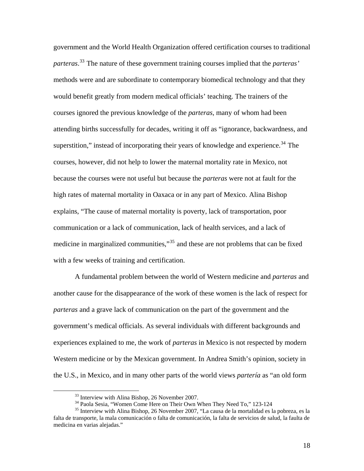government and the World Health Organization offered certification courses to traditional *parteras*. [33](#page-17-0) The nature of these government training courses implied that the *parteras'* methods were and are subordinate to contemporary biomedical technology and that they would benefit greatly from modern medical officials' teaching. The trainers of the courses ignored the previous knowledge of the *parteras*, many of whom had been attending births successfully for decades, writing it off as "ignorance, backwardness, and superstition," instead of incorporating their years of knowledge and experience.<sup>[34](#page-17-1)</sup> The courses, however, did not help to lower the maternal mortality rate in Mexico, not because the courses were not useful but because the *parteras* were not at fault for the high rates of maternal mortality in Oaxaca or in any part of Mexico. Alina Bishop explains, "The cause of maternal mortality is poverty, lack of transportation, poor communication or a lack of communication, lack of health services, and a lack of medicine in marginalized communities,"<sup>[35](#page-17-2)</sup> and these are not problems that can be fixed with a few weeks of training and certification.

 A fundamental problem between the world of Western medicine and *parteras* and another cause for the disappearance of the work of these women is the lack of respect for *parteras* and a grave lack of communication on the part of the government and the government's medical officials. As several individuals with different backgrounds and experiences explained to me, the work of *parteras* in Mexico is not respected by modern Western medicine or by the Mexican government. In Andrea Smith's opinion, society in the U.S., in Mexico, and in many other parts of the world views *partería* as "an old form

 $33$  Interview with Alina Bishop, 26 November 2007.<br> $34$  Paola Sesia, "Women Come Here on Their Own When They Need To," 123-124

<span id="page-17-2"></span><span id="page-17-1"></span><span id="page-17-0"></span><sup>&</sup>lt;sup>35</sup> Interview with Alina Bishop, 26 November 2007, "La causa de la mortalidad es la pobreza, es la falta de transporte, la mala comunicación o falta de comunicación, la falta de servicios de salud, la faulta de medicina en varias alejadas."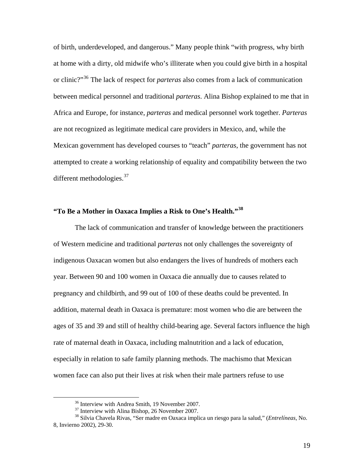of birth, underdeveloped, and dangerous." Many people think "with progress, why birth at home with a dirty, old midwife who's illiterate when you could give birth in a hospital or clinic?"[36](#page-18-0) The lack of respect for *parteras* also comes from a lack of communication between medical personnel and traditional *parteras*. Alina Bishop explained to me that in Africa and Europe, for instance, *parteras* and medical personnel work together. *Parteras* are not recognized as legitimate medical care providers in Mexico, and, while the Mexican government has developed courses to "teach" *parteras*, the government has not attempted to create a working relationship of equality and compatibility between the two different methodologies. $37$ 

### **"To Be a Mother in Oaxaca Implies a Risk to One's Health."[38](#page-18-2)**

 The lack of communication and transfer of knowledge between the practitioners of Western medicine and traditional *parteras* not only challenges the sovereignty of indigenous Oaxacan women but also endangers the lives of hundreds of mothers each year. Between 90 and 100 women in Oaxaca die annually due to causes related to pregnancy and childbirth, and 99 out of 100 of these deaths could be prevented. In addition, maternal death in Oaxaca is premature: most women who die are between the ages of 35 and 39 and still of healthy child-bearing age. Several factors influence the high rate of maternal death in Oaxaca, including malnutrition and a lack of education, especially in relation to safe family planning methods. The machismo that Mexican women face can also put their lives at risk when their male partners refuse to use

 <sup>36</sup> Interview with Andrea Smith, 19 November 2007.

<sup>&</sup>lt;sup>37</sup> Interview with Alina Bishop, 26 November 2007.

<span id="page-18-2"></span><span id="page-18-1"></span><span id="page-18-0"></span><sup>38</sup> Silvia Chavela Rivas, "Ser madre en Oaxaca implica un riesgo para la salud," (*Entrelíneas,* No. 8, Invierno 2002), 29-30.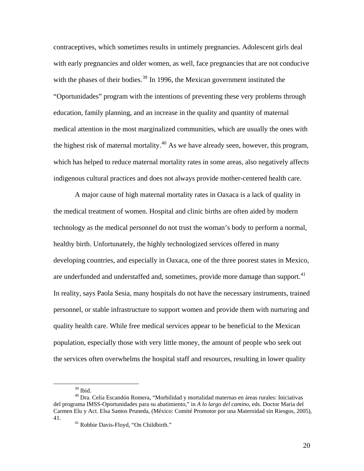contraceptives, which sometimes results in untimely pregnancies. Adolescent girls deal with early pregnancies and older women, as well, face pregnancies that are not conducive with the phases of their bodies.<sup>[39](#page-19-0)</sup> In 1996, the Mexican government instituted the "Oportunidades" program with the intentions of preventing these very problems through education, family planning, and an increase in the quality and quantity of maternal medical attention in the most marginalized communities, which are usually the ones with the highest risk of maternal mortality.<sup> $40$ </sup> As we have already seen, however, this program, which has helped to reduce maternal mortality rates in some areas, also negatively affects indigenous cultural practices and does not always provide mother-centered health care.

 A major cause of high maternal mortality rates in Oaxaca is a lack of quality in the medical treatment of women. Hospital and clinic births are often aided by modern technology as the medical personnel do not trust the woman's body to perform a normal, healthy birth. Unfortunately, the highly technologized services offered in many developing countries, and especially in Oaxaca, one of the three poorest states in Mexico, are underfunded and understaffed and, sometimes, provide more damage than support.<sup>[41](#page-19-2)</sup> In reality, says Paola Sesia, many hospitals do not have the necessary instruments, trained personnel, or stable infrastructure to support women and provide them with nurturing and quality health care. While free medical services appear to be beneficial to the Mexican population, especially those with very little money, the amount of people who seek out the services often overwhelms the hospital staff and resources, resulting in lower quality

 $39$  Ibid.

<span id="page-19-2"></span><span id="page-19-1"></span><span id="page-19-0"></span><sup>&</sup>lt;sup>40</sup> Dra. Celia Escandón Romera, "Morbilidad y mortalidad maternas en áreas rurales: Iniciativas del programa IMSS-Oportunidades para su abatimiento," in *A lo largo del camino*, eds. Doctor Maria del Carmen Elu y Act. Elsa Santos Pruneda, (México: Comité Promotor por una Maternidad sin Riesgos, 2005), 41. 41 Robbie Davis-Floyd, "On Childbirth."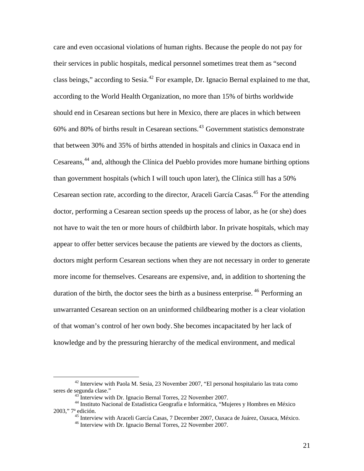care and even occasional violations of human rights. Because the people do not pay for their services in public hospitals, medical personnel sometimes treat them as "second class beings," according to Sesia.<sup>[42](#page-20-0)</sup> For example, Dr. Ignacio Bernal explained to me that, according to the World Health Organization, no more than 15% of births worldwide should end in Cesarean sections but here in Mexico, there are places in which between  $60\%$  and  $80\%$  of births result in Cesarean sections.<sup>[43](#page-20-1)</sup> Government statistics demonstrate that between 30% and 35% of births attended in hospitals and clinics in Oaxaca end in Cesareans,<sup>[44](#page-20-2)</sup> and, although the Clínica del Pueblo provides more humane birthing options than government hospitals (which I will touch upon later), the Clínica still has a 50% Cesarean section rate, according to the director, Araceli García Casas.<sup>[45](#page-20-3)</sup> For the attending doctor, performing a Cesarean section speeds up the process of labor, as he (or she) does not have to wait the ten or more hours of childbirth labor. In private hospitals, which may appear to offer better services because the patients are viewed by the doctors as clients, doctors might perform Cesarean sections when they are not necessary in order to generate more income for themselves. Cesareans are expensive, and, in addition to shortening the duration of the birth, the doctor sees the birth as a business enterprise. <sup>[46](#page-20-4)</sup> Performing an unwarranted Cesarean section on an uninformed childbearing mother is a clear violation of that woman's control of her own body. She becomes incapacitated by her lack of knowledge and by the pressuring hierarchy of the medical environment, and medical

<span id="page-20-0"></span> $42$  Interview with Paola M. Sesia, 23 November 2007, "El personal hospitalario las trata como seres de segunda clase." 43 Interview with Dr. Ignacio Bernal Torres, 22 November 2007.

<span id="page-20-4"></span><span id="page-20-3"></span><span id="page-20-2"></span><span id="page-20-1"></span><sup>44</sup> Instituto Nacional de Estadística Geografía e Informática, "Mujeres y Hombres en México 2003," 7ª edición.

<sup>&</sup>lt;sup>45</sup> Interview with Araceli García Casas, 7 December 2007, Oaxaca de Juárez, Oaxaca, México.  $46$  Interview with Dr. Ignacio Bernal Torres, 22 November 2007.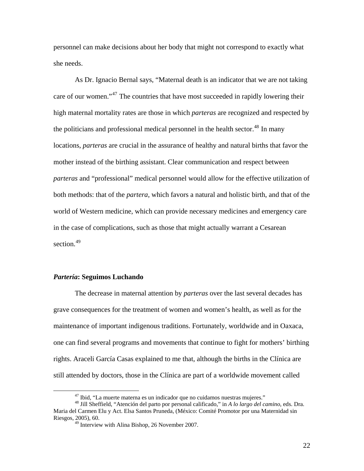personnel can make decisions about her body that might not correspond to exactly what she needs.

 As Dr. Ignacio Bernal says, "Maternal death is an indicator that we are not taking care of our women."<sup>[47](#page-21-0)</sup> The countries that have most succeeded in rapidly lowering their high maternal mortality rates are those in which *parteras* are recognized and respected by the politicians and professional medical personnel in the health sector.<sup>[48](#page-21-1)</sup> In many locations, *parteras* are crucial in the assurance of healthy and natural births that favor the mother instead of the birthing assistant. Clear communication and respect between *parteras* and "professional" medical personnel would allow for the effective utilization of both methods: that of the *partera*, which favors a natural and holistic birth, and that of the world of Western medicine, which can provide necessary medicines and emergency care in the case of complications, such as those that might actually warrant a Cesarean section.<sup>[49](#page-21-2)</sup>

#### *Partería***: Seguimos Luchando**

 The decrease in maternal attention by *parteras* over the last several decades has grave consequences for the treatment of women and women's health, as well as for the maintenance of important indigenous traditions. Fortunately, worldwide and in Oaxaca, one can find several programs and movements that continue to fight for mothers' birthing rights. Araceli García Casas explained to me that, although the births in the Clínica are still attended by doctors, those in the Clínica are part of a worldwide movement called

<span id="page-21-2"></span><span id="page-21-1"></span><span id="page-21-0"></span> <sup>47</sup> Ibid, "La muerte materna es un indicador que no cuidamos nuestras mujeres." 48 Jill Sheffield, "Atención del parto por personal calificado," in *A lo largo del camino*, eds. Dra. Maria del Carmen Elu y Act. Elsa Santos Pruneda, (México: Comité Promotor por una Maternidad sin Riesgos, 2005), 60.

 $49$  Interview with Alina Bishop, 26 November 2007.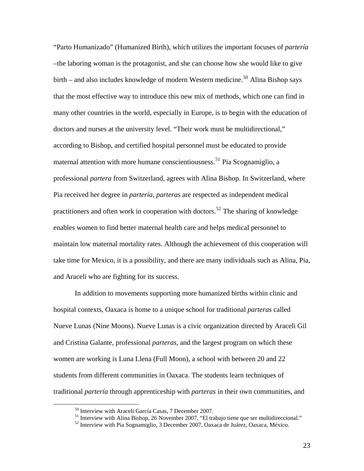"Parto Humanizado" (Humanized Birth), which utilizes the important focuses of *partería* –the laboring woman is the protagonist, and she can choose how she would like to give birth – and also includes knowledge of modern Western medicine.<sup>[50](#page-22-0)</sup> Alina Bishop says that the most effective way to introduce this new mix of methods, which one can find in many other countries in the world, especially in Europe, is to begin with the education of doctors and nurses at the university level. "Their work must be multidirectional," according to Bishop, and certified hospital personnel must be educated to provide maternal attention with more humane conscientiousness.<sup>[51](#page-22-1)</sup> Pia Scognamiglio, a professional *partera* from Switzerland, agrees with Alina Bishop. In Switzerland, where Pia received her degree in *partería*, *parteras* are respected as independent medical practitioners and often work in cooperation with doctors.<sup>[52](#page-22-2)</sup> The sharing of knowledge enables women to find better maternal health care and helps medical personnel to maintain low maternal mortality rates. Although the achievement of this cooperation will take time for Mexico, it is a possibility, and there are many individuals such as Alina, Pia, and Araceli who are fighting for its success.

 In addition to movements supporting more humanized births within clinic and hospital contexts, Oaxaca is home to a unique school for traditional *parteras* called Nueve Lunas (Nine Moons). Nueve Lunas is a civic organization directed by Araceli Gil and Cristina Galante, professional *parteras*, and the largest program on which these women are working is Luna Llena (Full Moon), a school with between 20 and 22 students from different communities in Oaxaca. The students learn techniques of traditional *partería* through apprenticeship with *parteras* in their own communities, and

<span id="page-22-1"></span><span id="page-22-0"></span><sup>&</sup>lt;sup>50</sup> Interview with Araceli García Casas, 7 December 2007.<br>
<sup>51</sup> Interview with Alina Bishop, 26 November 2007, "El trabajo tiene que ser multidireccional."<br>
<sup>52</sup> Interview with Pia Sognamiglio, 3 December 2007, Oaxaca de

<span id="page-22-2"></span>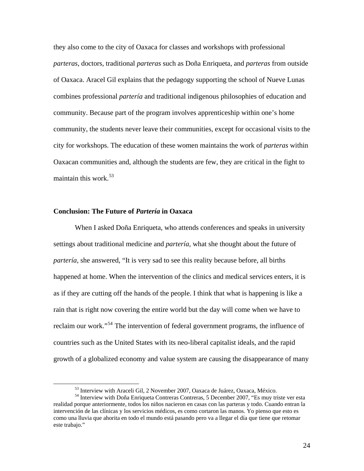they also come to the city of Oaxaca for classes and workshops with professional *parteras*, doctors, traditional *parteras* such as Doña Enriqueta, and *parteras* from outside of Oaxaca. Aracel Gil explains that the pedagogy supporting the school of Nueve Lunas combines professional *partería* and traditional indigenous philosophies of education and community. Because part of the program involves apprenticeship within one's home community, the students never leave their communities, except for occasional visits to the city for workshops. The education of these women maintains the work of *parteras* within Oaxacan communities and, although the students are few, they are critical in the fight to maintain this work.<sup>[53](#page-23-0)</sup>

#### **Conclusion: The Future of** *Partería* **in Oaxaca**

 When I asked Doña Enriqueta, who attends conferences and speaks in university settings about traditional medicine and *partería,* what she thought about the future of *partería,* she answered, "It is very sad to see this reality because before, all births happened at home. When the intervention of the clinics and medical services enters, it is as if they are cutting off the hands of the people. I think that what is happening is like a rain that is right now covering the entire world but the day will come when we have to reclaim our work."[54](#page-23-1) The intervention of federal government programs, the influence of countries such as the United States with its neo-liberal capitalist ideals, and the rapid growth of a globalized economy and value system are causing the disappearance of many

 $53$  Interview with Araceli Gil, 2 November 2007, Oaxaca de Juárez, Oaxaca, México.<br> $54$  Interview with Doña Enriqueta Contreras Contreras, 5 December 2007, "Es muy triste ver esta

<span id="page-23-1"></span><span id="page-23-0"></span>realidad porque anteriormente, todos los niños nacieron en casas con las parteras y todo. Cuando entran la intervención de las clínicas y los servicios médicos, es como cortaron las manos. Yo pienso que esto es como una lluvia que ahorita en todo el mundo está pasando pero va a llegar el día que tiene que retomar este trabajo."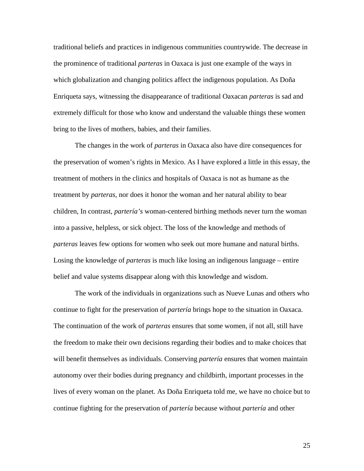traditional beliefs and practices in indigenous communities countrywide. The decrease in the prominence of traditional *parteras* in Oaxaca is just one example of the ways in which globalization and changing politics affect the indigenous population. As Doña Enriqueta says, witnessing the disappearance of traditional Oaxacan *parteras* is sad and extremely difficult for those who know and understand the valuable things these women bring to the lives of mothers, babies, and their families.

 The changes in the work of *parteras* in Oaxaca also have dire consequences for the preservation of women's rights in Mexico. As I have explored a little in this essay, the treatment of mothers in the clinics and hospitals of Oaxaca is not as humane as the treatment by *parteras*, nor does it honor the woman and her natural ability to bear children, In contrast, *partería's* woman-centered birthing methods never turn the woman into a passive, helpless, or sick object. The loss of the knowledge and methods of *parteras* leaves few options for women who seek out more humane and natural births. Losing the knowledge of *parteras* is much like losing an indigenous language – entire belief and value systems disappear along with this knowledge and wisdom.

 The work of the individuals in organizations such as Nueve Lunas and others who continue to fight for the preservation of *partería* brings hope to the situation in Oaxaca. The continuation of the work of *parteras* ensures that some women, if not all, still have the freedom to make their own decisions regarding their bodies and to make choices that will benefit themselves as individuals. Conserving *partería* ensures that women maintain autonomy over their bodies during pregnancy and childbirth, important processes in the lives of every woman on the planet. As Doña Enriqueta told me, we have no choice but to continue fighting for the preservation of *partería* because without *partería* and other

25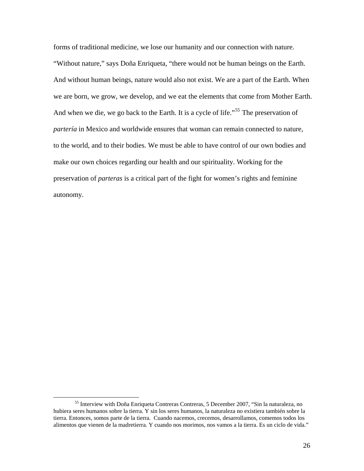forms of traditional medicine, we lose our humanity and our connection with nature. "Without nature," says Doña Enriqueta, "there would not be human beings on the Earth. And without human beings, nature would also not exist. We are a part of the Earth. When we are born, we grow, we develop, and we eat the elements that come from Mother Earth. And when we die, we go back to the Earth. It is a cycle of life.<sup> $55$ </sup> The preservation of *partería* in Mexico and worldwide ensures that woman can remain connected to nature, to the world, and to their bodies. We must be able to have control of our own bodies and make our own choices regarding our health and our spirituality. Working for the preservation of *parteras* is a critical part of the fight for women's rights and feminine autonomy.

<span id="page-25-0"></span> <sup>55</sup> Interview with Doña Enriqueta Contreras Contreras, 5 December 2007, "Sin la naturaleza, no hubiera seres humanos sobre la tierra. Y sin los seres humanos, la naturaleza no existiera también sobre la tierra. Entonces, somos parte de la tierra. Cuando nacemos, crecemos, desarrollamos, comemos todos los alimentos que vienen de la madretierra. Y cuando nos morimos, nos vamos a la tierra. Es un ciclo de vida."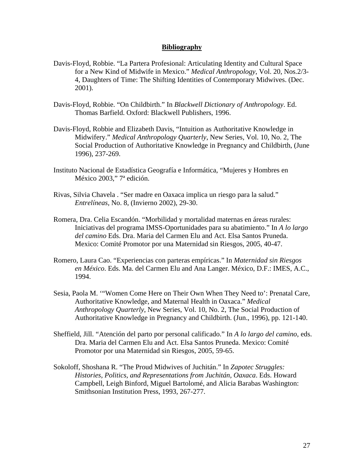#### **Bibliography**

- Davis-Floyd, Robbie. "La Partera Profesional: Articulating Identity and Cultural Space for a New Kind of Midwife in Mexico." *Medical Anthropology*, Vol. 20, Nos.2/3- 4, Daughters of Time: The Shifting Identities of Contemporary Midwives. (Dec. 2001).
- Davis-Floyd, Robbie. "On Childbirth." In *Blackwell Dictionary of Anthropology*. Ed. Thomas Barfield. Oxford: Blackwell Publishers, 1996.
- Davis-Floyd, Robbie and Elizabeth Davis, "Intuition as Authoritative Knowledge in Midwifery." *Medical Anthropology Quarterly*, New Series, Vol. 10, No. 2, The Social Production of Authoritative Knowledge in Pregnancy and Childbirth, (June 1996), 237-269.
- Instituto Nacional de Estadística Geografía e Informática, "Mujeres y Hombres en México 2003," 7ª edición.
- Rivas, Silvia Chavela . "Ser madre en Oaxaca implica un riesgo para la salud." *Entrelíneas,* No. 8, (Invierno 2002), 29-30.
- Romera, Dra. Celia Escandón. "Morbilidad y mortalidad maternas en áreas rurales: Iniciativas del programa IMSS-Oportunidades para su abatimiento." In *A lo largo del camino* Eds. Dra. Maria del Carmen Elu and Act. Elsa Santos Pruneda. Mexico: Comité Promotor por una Maternidad sin Riesgos, 2005, 40-47.
- Romero, Laura Cao. "Experiencias con parteras empíricas." In *Maternidad sin Riesgos en México*. Eds. Ma. del Carmen Elu and Ana Langer. México, D.F.: IMES, A.C., 1994.
- Sesia, Paola M. '"Women Come Here on Their Own When They Need to': Prenatal Care, Authoritative Knowledge, and Maternal Health in Oaxaca." *Medical Anthropology Quarterly*, New Series, Vol. 10, No. 2, The Social Production of Authoritative Knowledge in Pregnancy and Childbirth. (Jun., 1996), pp. 121-140.
- Sheffield, Jill. "Atención del parto por personal calificado." In *A lo largo del camino*, eds. Dra. Maria del Carmen Elu and Act. Elsa Santos Pruneda. Mexico: Comité Promotor por una Maternidad sin Riesgos, 2005, 59-65.
- Sokoloff, Shoshana R. "The Proud Midwives of Juchitán." In *Zapotec Struggles: Histories, Politics, and Representations from Juchitán, Oaxaca*. Eds. Howard Campbell, Leigh Binford, Miguel Bartolomé, and Alicia Barabas Washington: Smithsonian Institution Press, 1993, 267-277.